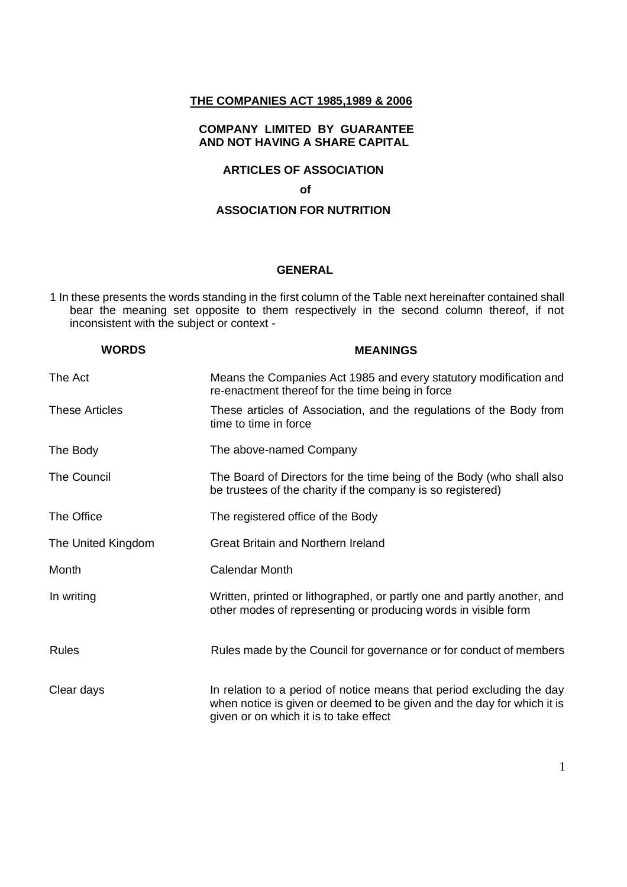# **THE COMPANIES ACT 1985,1989 & 2006**

#### **COMPANY LIMITED BY GUARANTEE AND NOT HAVING A SHARE CAPITAL**

# **ARTICLES OF ASSOCIATION**

#### **of**

# **ASSOCIATION FOR NUTRITION**

#### **GENERAL**

1 In these presents the words standing in the first column of the Table next hereinafter contained shall bear the meaning set opposite to them respectively in the second column thereof, if not inconsistent with the subject or context -

| <b>WORDS</b>          | <b>MEANINGS</b>                                                                                                                                                                           |
|-----------------------|-------------------------------------------------------------------------------------------------------------------------------------------------------------------------------------------|
| The Act               | Means the Companies Act 1985 and every statutory modification and<br>re-enactment thereof for the time being in force                                                                     |
| <b>These Articles</b> | These articles of Association, and the regulations of the Body from<br>time to time in force                                                                                              |
| The Body              | The above-named Company                                                                                                                                                                   |
| <b>The Council</b>    | The Board of Directors for the time being of the Body (who shall also<br>be trustees of the charity if the company is so registered)                                                      |
| The Office            | The registered office of the Body                                                                                                                                                         |
| The United Kingdom    | <b>Great Britain and Northern Ireland</b>                                                                                                                                                 |
| Month                 | <b>Calendar Month</b>                                                                                                                                                                     |
| In writing            | Written, printed or lithographed, or partly one and partly another, and<br>other modes of representing or producing words in visible form                                                 |
| <b>Rules</b>          | Rules made by the Council for governance or for conduct of members                                                                                                                        |
| Clear days            | In relation to a period of notice means that period excluding the day<br>when notice is given or deemed to be given and the day for which it is<br>given or on which it is to take effect |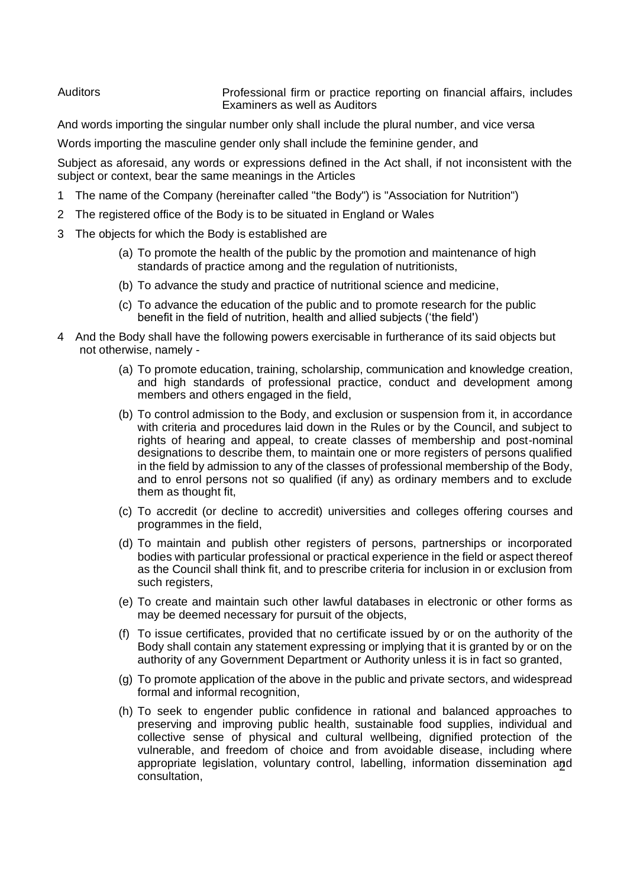#### Professional firm or practice reporting on financial affairs, includes Examiners as well as Auditors **Auditors**

And words importing the singular number only shall include the plural number, and vice versa

Words importing the masculine gender only shall include the feminine gender, and

Subject as aforesaid, any words or expressions defined in the Act shall, if not inconsistent with the subject or context, bear the same meanings in the Articles

- 1 The name of the Company (hereinafter called "the Body") is "Association for Nutrition")
- 2 The registered office of the Body is to be situated in England or Wales
- 3 The objects for which the Body is established are
	- (a) To promote the health of the public by the promotion and maintenance of high standards of practice among and the regulation of nutritionists,
	- (b) To advance the study and practice of nutritional science and medicine,
	- (c) To advance the education of the public and to promote research for the public benefit in the field of nutrition, health and allied subjects ('the field')
- 4 And the Body shall have the following powers exercisable in furtherance of its said objects but not otherwise, namely -
	- (a) To promote education, training, scholarship, communication and knowledge creation, and high standards of professional practice, conduct and development among members and others engaged in the field,
	- (b) To control admission to the Body, and exclusion or suspension from it, in accordance with criteria and procedures laid down in the Rules or by the Council, and subject to rights of hearing and appeal, to create classes of membership and post-nominal designations to describe them, to maintain one or more registers of persons qualified in the field by admission to any of the classes of professional membership of the Body, and to enrol persons not so qualified (if any) as ordinary members and to exclude them as thought fit,
	- (c) To accredit (or decline to accredit) universities and colleges offering courses and programmes in the field,
	- (d) To maintain and publish other registers of persons, partnerships or incorporated bodies with particular professional or practical experience in the field or aspect thereof as the Council shall think fit, and to prescribe criteria for inclusion in or exclusion from such registers.
	- (e) To create and maintain such other lawful databases in electronic or other forms as may be deemed necessary for pursuit of the objects,
	- (f) To issue certificates, provided that no certificate issued by or on the authority of the Body shall contain any statement expressing or implying that it is granted by or on the authority of any Government Department or Authority unless it is in fact so granted,
	- (g) To promote application of the above in the public and private sectors, and widespread formal and informal recognition,
	- appropriate legislation, voluntary control, labelling, information dissemination and (h) To seek to engender public confidence in rational and balanced approaches to preserving and improving public health, sustainable food supplies, individual and collective sense of physical and cultural wellbeing, dignified protection of the vulnerable, and freedom of choice and from avoidable disease, including where consultation,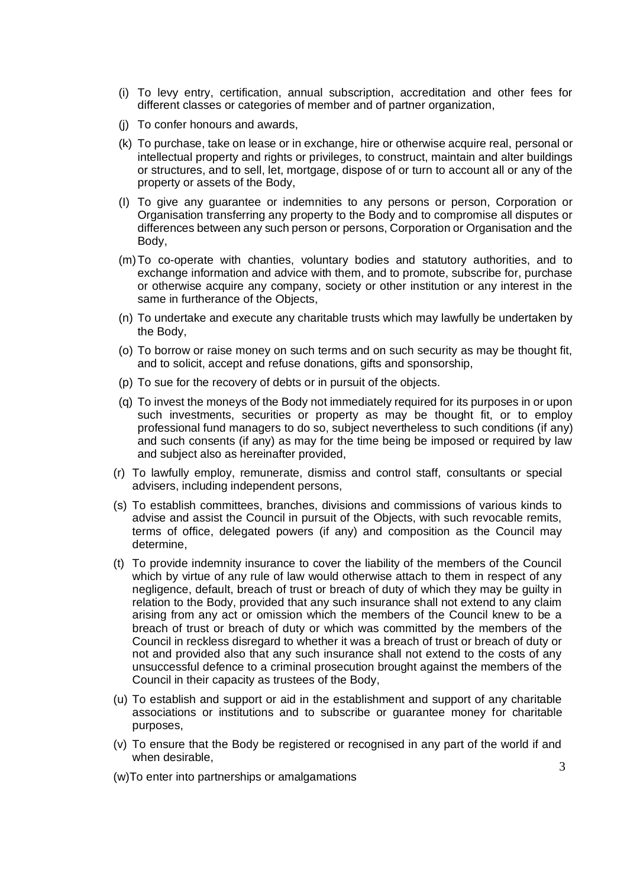- (i) To levy entry, certification, annual subscription, accreditation and other fees for different classes or categories of member and of partner organization,
- (j) To confer honours and awards,
- (k) To purchase, take on lease or in exchange, hire or otherwise acquire real, personal or intellectual property and rights or privileges, to construct, maintain and alter buildings or structures, and to sell, let, mortgage, dispose of or turn to account all or any of the property or assets of the Body,
- (I) To give any guarantee or indemnities to any persons or person, Corporation or Organisation transferring any property to the Body and to compromise all disputes or differences between any such person or persons, Corporation or Organisation and the Body,
- (m)To co-operate with chanties, voluntary bodies and statutory authorities, and to exchange information and advice with them, and to promote, subscribe for, purchase or otherwise acquire any company, society or other institution or any interest in the same in furtherance of the Objects,
- (n) To undertake and execute any charitable trusts which may lawfully be undertaken by the Body,
- (o) To borrow or raise money on such terms and on such security as may be thought fit, and to solicit, accept and refuse donations, gifts and sponsorship,
- (p) To sue for the recovery of debts or in pursuit of the objects.
- (q) To invest the moneys of the Body not immediately required for its purposes in or upon such investments, securities or property as may be thought fit, or to employ professional fund managers to do so, subject nevertheless to such conditions (if any) and such consents (if any) as may for the time being be imposed or required by law and subject also as hereinafter provided,
- (r) To lawfully employ, remunerate, dismiss and control staff, consultants or special advisers, including independent persons,
- (s) To establish committees, branches, divisions and commissions of various kinds to advise and assist the Council in pursuit of the Objects, with such revocable remits, terms of office, delegated powers (if any) and composition as the Council may determine,
- (t) To provide indemnity insurance to cover the liability of the members of the Council which by virtue of any rule of law would otherwise attach to them in respect of any negligence, default, breach of trust or breach of duty of which they may be guilty in relation to the Body, provided that any such insurance shall not extend to any claim arising from any act or omission which the members of the Council knew to be a breach of trust or breach of duty or which was committed by the members of the Council in reckless disregard to whether it was a breach of trust or breach of duty or not and provided also that any such insurance shall not extend to the costs of any unsuccessful defence to a criminal prosecution brought against the members of the Council in their capacity as trustees of the Body,
- (u) To establish and support or aid in the establishment and support of any charitable associations or institutions and to subscribe or guarantee money for charitable purposes,
- (v) To ensure that the Body be registered or recognised in any part of the world if and when desirable,
- (w)To enter into partnerships or amalgamations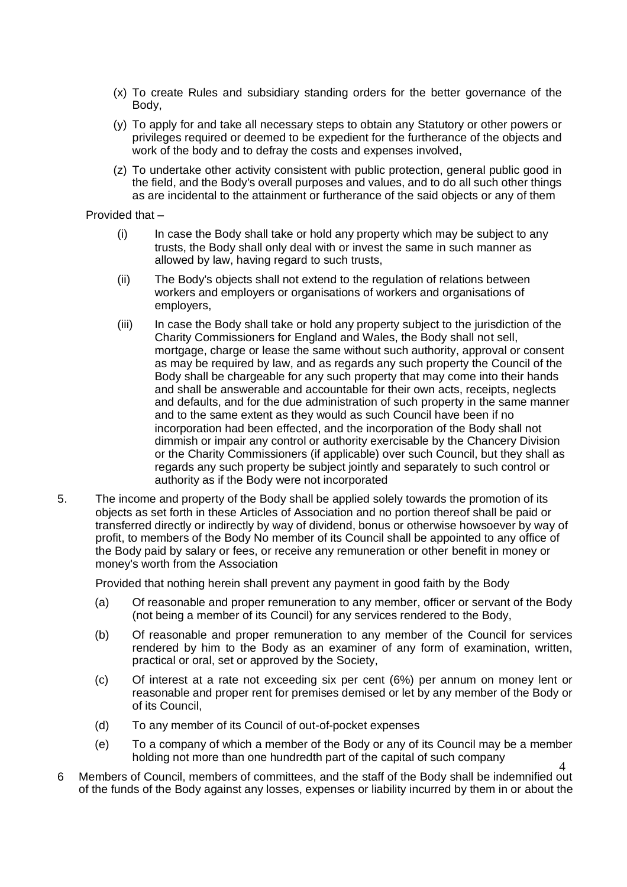- (x) To create Rules and subsidiary standing orders for the better governance of the Body,
- (y) To apply for and take all necessary steps to obtain any Statutory or other powers or privileges required or deemed to be expedient for the furtherance of the objects and work of the body and to defray the costs and expenses involved,
- (z) To undertake other activity consistent with public protection, general public good in the field, and the Body's overall purposes and values, and to do all such other things as are incidental to the attainment or furtherance of the said objects or any of them

Provided that –

- (i) In case the Body shall take or hold any property which may be subject to any trusts, the Body shall only deal with or invest the same in such manner as allowed by law, having regard to such trusts,
- (ii) The Body's objects shall not extend to the regulation of relations between workers and employers or organisations of workers and organisations of employers,
- (iii) In case the Body shall take or hold any property subject to the jurisdiction of the Charity Commissioners for England and Wales, the Body shall not sell, mortgage, charge or lease the same without such authority, approval or consent as may be required by law, and as regards any such property the Council of the Body shall be chargeable for any such property that may come into their hands and shall be answerable and accountable for their own acts, receipts, neglects and defaults, and for the due administration of such property in the same manner and to the same extent as they would as such Council have been if no incorporation had been effected, and the incorporation of the Body shall not dimmish or impair any control or authority exercisable by the Chancery Division or the Charity Commissioners (if applicable) over such Council, but they shall as regards any such property be subject jointly and separately to such control or authority as if the Body were not incorporated
- 5. The income and property of the Body shall be applied solely towards the promotion of its objects as set forth in these Articles of Association and no portion thereof shall be paid or transferred directly or indirectly by way of dividend, bonus or otherwise howsoever by way of profit, to members of the Body No member of its Council shall be appointed to any office of the Body paid by salary or fees, or receive any remuneration or other benefit in money or money's worth from the Association

Provided that nothing herein shall prevent any payment in good faith by the Body

- (a) Of reasonable and proper remuneration to any member, officer or servant of the Body (not being a member of its Council) for any services rendered to the Body,
- (b) Of reasonable and proper remuneration to any member of the Council for services rendered by him to the Body as an examiner of any form of examination, written, practical or oral, set or approved by the Society,
- (c) Of interest at a rate not exceeding six per cent (6%) per annum on money lent or reasonable and proper rent for premises demised or let by any member of the Body or of its Council,
- (d) To any member of its Council of out-of-pocket expenses
- (e) To a company of which a member of the Body or any of its Council may be a member holding not more than one hundredth part of the capital of such company
- 4 6 Members of Council, members of committees, and the staff of the Body shall be indemnified out of the funds of the Body against any losses, expenses or liability incurred by them in or about the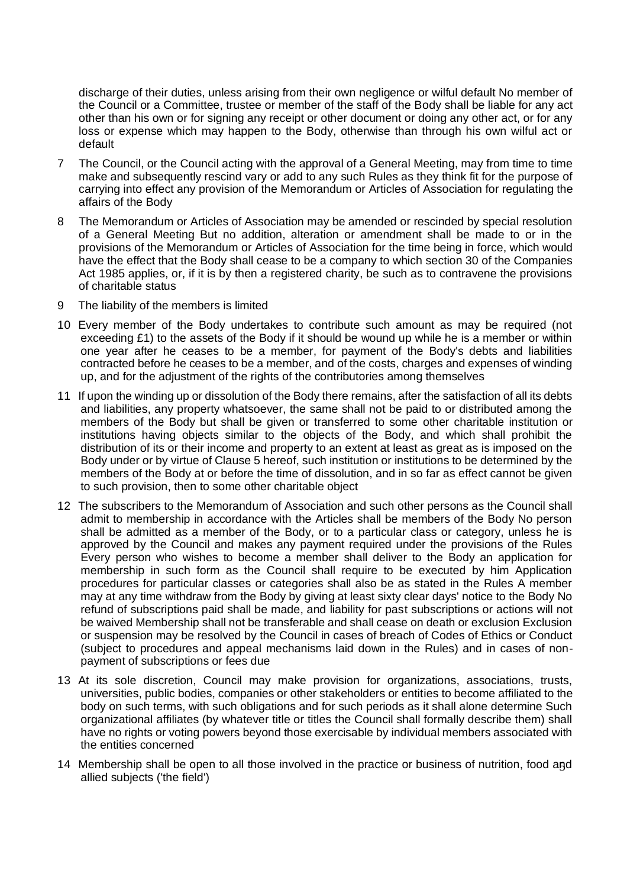discharge of their duties, unless arising from their own negligence or wilful default No member of the Council or a Committee, trustee or member of the staff of the Body shall be liable for any act other than his own or for signing any receipt or other document or doing any other act, or for any loss or expense which may happen to the Body, otherwise than through his own wilful act or default

- 7 The Council, or the Council acting with the approval of a General Meeting, may from time to time make and subsequently rescind vary or add to any such Rules as they think fit for the purpose of carrying into effect any provision of the Memorandum or Articles of Association for regulating the affairs of the Body
- 8 The Memorandum or Articles of Association may be amended or rescinded by special resolution of a General Meeting But no addition, alteration or amendment shall be made to or in the provisions of the Memorandum or Articles of Association for the time being in force, which would have the effect that the Body shall cease to be a company to which section 30 of the Companies Act 1985 applies, or, if it is by then a registered charity, be such as to contravene the provisions of charitable status
- 9 The liability of the members is limited
- 10 Every member of the Body undertakes to contribute such amount as may be required (not exceeding £1) to the assets of the Body if it should be wound up while he is a member or within one year after he ceases to be a member, for payment of the Body's debts and liabilities contracted before he ceases to be a member, and of the costs, charges and expenses of winding up, and for the adjustment of the rights of the contributories among themselves
- 11 If upon the winding up or dissolution of the Body there remains, after the satisfaction of all its debts and liabilities, any property whatsoever, the same shall not be paid to or distributed among the members of the Body but shall be given or transferred to some other charitable institution or institutions having objects similar to the objects of the Body, and which shall prohibit the distribution of its or their income and property to an extent at least as great as is imposed on the Body under or by virtue of Clause 5 hereof, such institution or institutions to be determined by the members of the Body at or before the time of dissolution, and in so far as effect cannot be given to such provision, then to some other charitable object
- 12 The subscribers to the Memorandum of Association and such other persons as the Council shall admit to membership in accordance with the Articles shall be members of the Body No person shall be admitted as a member of the Body, or to a particular class or category, unless he is approved by the Council and makes any payment required under the provisions of the Rules Every person who wishes to become a member shall deliver to the Body an application for membership in such form as the Council shall require to be executed by him Application procedures for particular classes or categories shall also be as stated in the Rules A member may at any time withdraw from the Body by giving at least sixty clear days' notice to the Body No refund of subscriptions paid shall be made, and liability for past subscriptions or actions will not be waived Membership shall not be transferable and shall cease on death or exclusion Exclusion or suspension may be resolved by the Council in cases of breach of Codes of Ethics or Conduct (subject to procedures and appeal mechanisms laid down in the Rules) and in cases of nonpayment of subscriptions or fees due
- 13 At its sole discretion, Council may make provision for organizations, associations, trusts, universities, public bodies, companies or other stakeholders or entities to become affiliated to the body on such terms, with such obligations and for such periods as it shall alone determine Such organizational affiliates (by whatever title or titles the Council shall formally describe them) shall have no rights or voting powers beyond those exercisable by individual members associated with the entities concerned
- 14 Membership shall be open to all those involved in the practice or business of nutrition, food and allied subjects ('the field')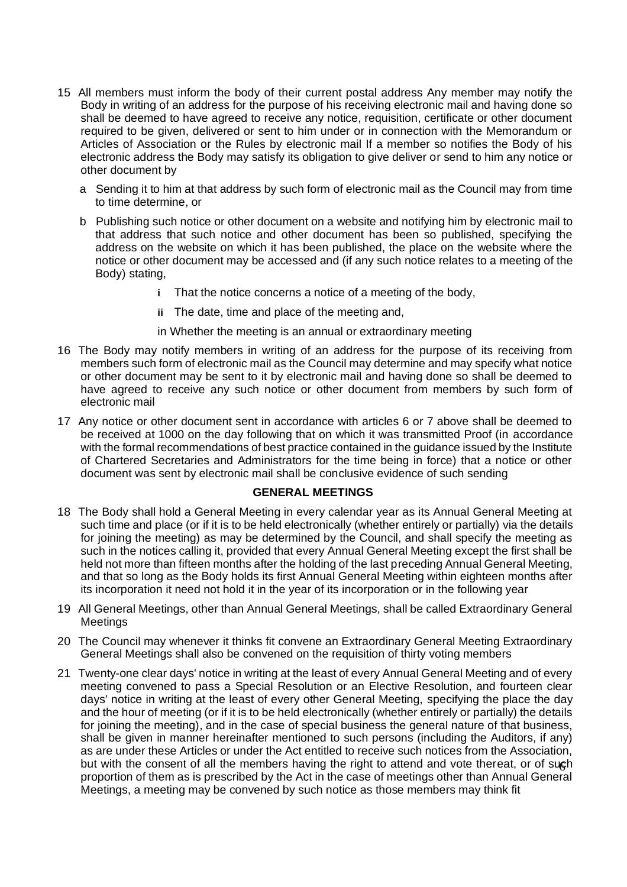- 15 All members must inform the body of their current postal address Any member may notify the Body in writing of an address for the purpose of his receiving electronic mail and having done so shall be deemed to have agreed to receive any notice, requisition, certificate or other document required to be given, delivered or sent to him under or in connection with the Memorandum or Articles of Association or the Rules by electronic mail If a member so notifies the Body of his electronic address the Body may satisfy its obligation to give deliver or send to him any notice or other document by
	- a Sending it to him at that address by such form of electronic mail as the Council may from time to time determine, or
	- b Publishing such notice or other document on a website and notifying him by electronic mail to that address that such notice and other document has been so published, specifying the address on the website on which it has been published, the place on the website where the notice or other document may be accessed and (if any such notice relates to a meeting of the Body) stating,
		- **i** That the notice concerns a notice of a meeting of the body,
		- **ii** The date, time and place of the meeting and,
		- in Whether the meeting is an annual or extraordinary meeting
- 16 The Body may notify members in writing of an address for the purpose of its receiving from members such form of electronic mail as the Council may determine and may specify what notice or other document may be sent to it by electronic mail and having done so shall be deemed to have agreed to receive any such notice or other document from members by such form of electronic mail
- 17 Any notice or other document sent in accordance with articles 6 or 7 above shall be deemed to be received at 1000 on the day following that on which it was transmitted Proof (in accordance with the formal recommendations of best practice contained in the guidance issued by the Institute of Chartered Secretaries and Administrators for the time being in force) that a notice or other document was sent by electronic mail shall be conclusive evidence of such sending

# **GENERAL MEETINGS**

- 18 The Body shall hold a General Meeting in every calendar year as its Annual General Meeting at such time and place (or if it is to be held electronically (whether entirely or partially) via the details for joining the meeting) as may be determined by the Council, and shall specify the meeting as such in the notices calling it, provided that every Annual General Meeting except the first shall be held not more than fifteen months after the holding of the last preceding Annual General Meeting, and that so long as the Body holds its first Annual General Meeting within eighteen months after its incorporation it need not hold it in the year of its incorporation or in the following year
- 19 All General Meetings, other than Annual General Meetings, shall be called Extraordinary General **Meetings**
- 20 The Council may whenever it thinks fit convene an Extraordinary General Meeting Extraordinary General Meetings shall also be convened on the requisition of thirty voting members
- but with the consent of all the members having the right to attend and vote thereat, or of such 21 Twenty-one clear days' notice in writing at the least of every Annual General Meeting and of every meeting convened to pass a Special Resolution or an Elective Resolution, and fourteen clear days' notice in writing at the least of every other General Meeting, specifying the place the day and the hour of meeting (or if it is to be held electronically (whether entirely or partially) the details for joining the meeting), and in the case of special business the general nature of that business, shall be given in manner hereinafter mentioned to such persons (including the Auditors, if any) as are under these Articles or under the Act entitled to receive such notices from the Association, proportion of them as is prescribed by the Act in the case of meetings other than Annual General Meetings, a meeting may be convened by such notice as those members may think fit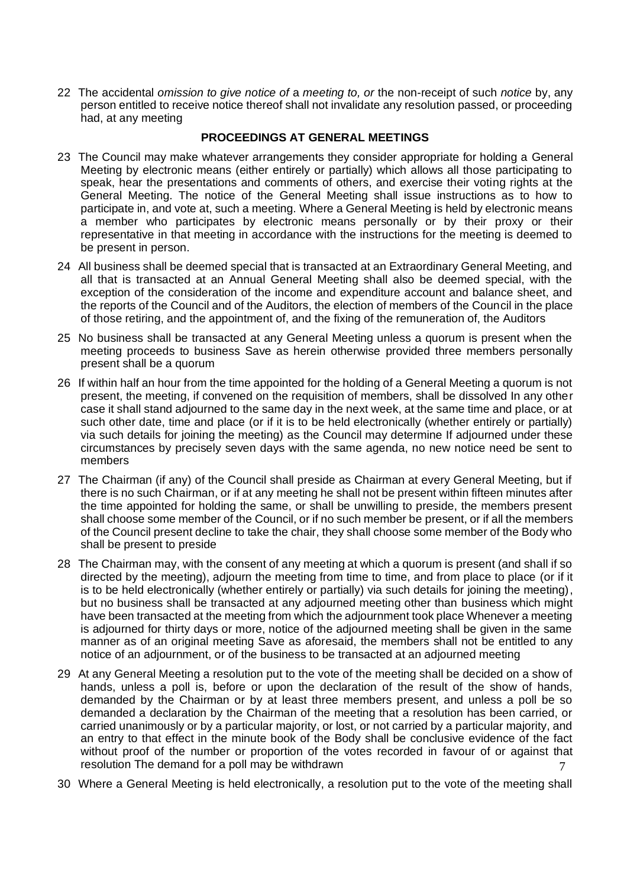22 The accidental *omission to give notice of* a *meeting to, or* the non-receipt of such *notice* by, any person entitled to receive notice thereof shall not invalidate any resolution passed, or proceeding had, at any meeting

# **PROCEEDINGS AT GENERAL MEETINGS**

- 23 The Council may make whatever arrangements they consider appropriate for holding a General Meeting by electronic means (either entirely or partially) which allows all those participating to speak, hear the presentations and comments of others, and exercise their voting rights at the General Meeting. The notice of the General Meeting shall issue instructions as to how to participate in, and vote at, such a meeting. Where a General Meeting is held by electronic means a member who participates by electronic means personally or by their proxy or their representative in that meeting in accordance with the instructions for the meeting is deemed to be present in person.
- 24 All business shall be deemed special that is transacted at an Extraordinary General Meeting, and all that is transacted at an Annual General Meeting shall also be deemed special, with the exception of the consideration of the income and expenditure account and balance sheet, and the reports of the Council and of the Auditors, the election of members of the Council in the place of those retiring, and the appointment of, and the fixing of the remuneration of, the Auditors
- 25 No business shall be transacted at any General Meeting unless a quorum is present when the meeting proceeds to business Save as herein otherwise provided three members personally present shall be a quorum
- 26 If within half an hour from the time appointed for the holding of a General Meeting a quorum is not present, the meeting, if convened on the requisition of members, shall be dissolved In any other case it shall stand adjourned to the same day in the next week, at the same time and place, or at such other date, time and place (or if it is to be held electronically (whether entirely or partially) via such details for joining the meeting) as the Council may determine If adjourned under these circumstances by precisely seven days with the same agenda, no new notice need be sent to members
- 27 The Chairman (if any) of the Council shall preside as Chairman at every General Meeting, but if there is no such Chairman, or if at any meeting he shall not be present within fifteen minutes after the time appointed for holding the same, or shall be unwilling to preside, the members present shall choose some member of the Council, or if no such member be present, or if all the members of the Council present decline to take the chair, they shall choose some member of the Body who shall be present to preside
- 28 The Chairman may, with the consent of any meeting at which a quorum is present (and shall if so directed by the meeting), adjourn the meeting from time to time, and from place to place (or if it is to be held electronically (whether entirely or partially) via such details for joining the meeting), but no business shall be transacted at any adjourned meeting other than business which might have been transacted at the meeting from which the adjournment took place Whenever a meeting is adjourned for thirty days or more, notice of the adjourned meeting shall be given in the same manner as of an original meeting Save as aforesaid, the members shall not be entitled to any notice of an adjournment, or of the business to be transacted at an adjourned meeting
- 7 29 At any General Meeting a resolution put to the vote of the meeting shall be decided on a show of hands, unless a poll is, before or upon the declaration of the result of the show of hands, demanded by the Chairman or by at least three members present, and unless a poll be so demanded a declaration by the Chairman of the meeting that a resolution has been carried, or carried unanimously or by a particular majority, or lost, or not carried by a particular majority, and an entry to that effect in the minute book of the Body shall be conclusive evidence of the fact without proof of the number or proportion of the votes recorded in favour of or against that resolution The demand for a poll may be withdrawn
- 30 Where a General Meeting is held electronically, a resolution put to the vote of the meeting shall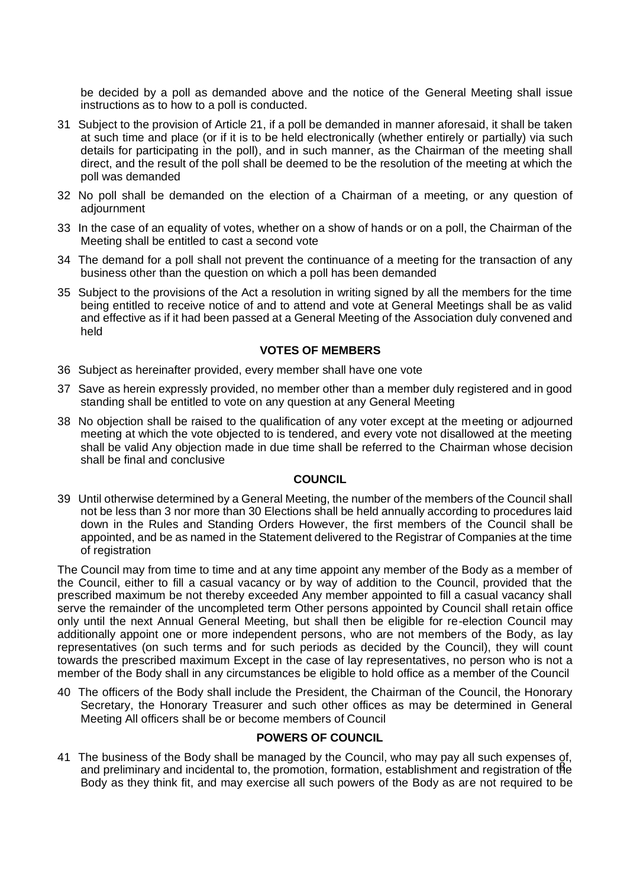be decided by a poll as demanded above and the notice of the General Meeting shall issue instructions as to how to a poll is conducted.

- 31 Subject to the provision of Article 21, if a poll be demanded in manner aforesaid, it shall be taken at such time and place (or if it is to be held electronically (whether entirely or partially) via such details for participating in the poll), and in such manner, as the Chairman of the meeting shall direct, and the result of the poll shall be deemed to be the resolution of the meeting at which the poll was demanded
- 32 No poll shall be demanded on the election of a Chairman of a meeting, or any question of adjournment
- 33 In the case of an equality of votes, whether on a show of hands or on a poll, the Chairman of the Meeting shall be entitled to cast a second vote
- 34 The demand for a poll shall not prevent the continuance of a meeting for the transaction of any business other than the question on which a poll has been demanded
- 35 Subject to the provisions of the Act a resolution in writing signed by all the members for the time being entitled to receive notice of and to attend and vote at General Meetings shall be as valid and effective as if it had been passed at a General Meeting of the Association duly convened and held

#### **VOTES OF MEMBERS**

- 36 Subject as hereinafter provided, every member shall have one vote
- 37 Save as herein expressly provided, no member other than a member duly registered and in good standing shall be entitled to vote on any question at any General Meeting
- 38 No objection shall be raised to the qualification of any voter except at the meeting or adjourned meeting at which the vote objected to is tendered, and every vote not disallowed at the meeting shall be valid Any objection made in due time shall be referred to the Chairman whose decision shall be final and conclusive

#### **COUNCIL**

39 Until otherwise determined by a General Meeting, the number of the members of the Council shall not be less than 3 nor more than 30 Elections shall be held annually according to procedures laid down in the Rules and Standing Orders However, the first members of the Council shall be appointed, and be as named in the Statement delivered to the Registrar of Companies at the time of registration

The Council may from time to time and at any time appoint any member of the Body as a member of the Council, either to fill a casual vacancy or by way of addition to the Council, provided that the prescribed maximum be not thereby exceeded Any member appointed to fill a casual vacancy shall serve the remainder of the uncompleted term Other persons appointed by Council shall retain office only until the next Annual General Meeting, but shall then be eligible for re-election Council may additionally appoint one or more independent persons, who are not members of the Body, as lay representatives (on such terms and for such periods as decided by the Council), they will count towards the prescribed maximum Except in the case of lay representatives, no person who is not a member of the Body shall in any circumstances be eligible to hold office as a member of the Council

40 The officers of the Body shall include the President, the Chairman of the Council, the Honorary Secretary, the Honorary Treasurer and such other offices as may be determined in General Meeting All officers shall be or become members of Council

#### **POWERS OF COUNCIL**

and preliminary and incidental to, the promotion, formation, establishment and registration of the 41 The business of the Body shall be managed by the Council, who may pay all such expenses of, Body as they think fit, and may exercise all such powers of the Body as are not required to be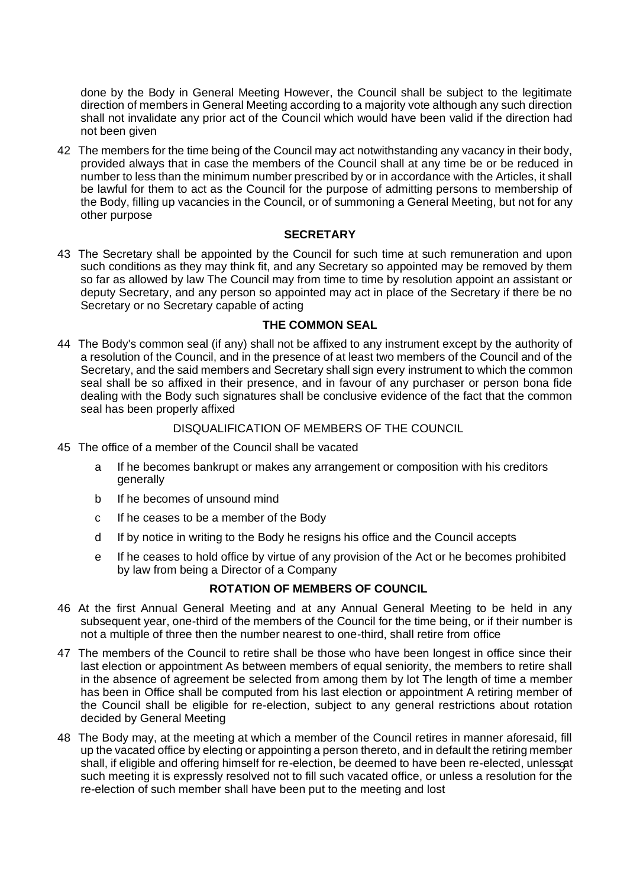done by the Body in General Meeting However, the Council shall be subject to the legitimate direction of members in General Meeting according to a majority vote although any such direction shall not invalidate any prior act of the Council which would have been valid if the direction had not been given

42 The members for the time being of the Council may act notwithstanding any vacancy in their body, provided always that in case the members of the Council shall at any time be or be reduced in number to less than the minimum number prescribed by or in accordance with the Articles, it shall be lawful for them to act as the Council for the purpose of admitting persons to membership of the Body, filling up vacancies in the Council, or of summoning a General Meeting, but not for any other purpose

# **SECRETARY**

43 The Secretary shall be appointed by the Council for such time at such remuneration and upon such conditions as they may think fit, and any Secretary so appointed may be removed by them so far as allowed by law The Council may from time to time by resolution appoint an assistant or deputy Secretary, and any person so appointed may act in place of the Secretary if there be no Secretary or no Secretary capable of acting

#### **THE COMMON SEAL**

44 The Body's common seal (if any) shall not be affixed to any instrument except by the authority of a resolution of the Council, and in the presence of at least two members of the Council and of the Secretary, and the said members and Secretary shall sign every instrument to which the common seal shall be so affixed in their presence, and in favour of any purchaser or person bona fide dealing with the Body such signatures shall be conclusive evidence of the fact that the common seal has been properly affixed

#### DISQUALIFICATION OF MEMBERS OF THE COUNCIL

- 45 The office of a member of the Council shall be vacated
	- a If he becomes bankrupt or makes any arrangement or composition with his creditors generally
	- b If he becomes of unsound mind
	- c If he ceases to be a member of the Body
	- d If by notice in writing to the Body he resigns his office and the Council accepts
	- e If he ceases to hold office by virtue of any provision of the Act or he becomes prohibited by law from being a Director of a Company

# **ROTATION OF MEMBERS OF COUNCIL**

- 46 At the first Annual General Meeting and at any Annual General Meeting to be held in any subsequent year, one-third of the members of the Council for the time being, or if their number is not a multiple of three then the number nearest to one-third, shall retire from office
- 47 The members of the Council to retire shall be those who have been longest in office since their last election or appointment As between members of equal seniority, the members to retire shall in the absence of agreement be selected from among them by lot The length of time a member has been in Office shall be computed from his last election or appointment A retiring member of the Council shall be eligible for re-election, subject to any general restrictions about rotation decided by General Meeting
- shall, if eligible and offering himself for re-election, be deemed to have been re-elected, unlessgat 48 The Body may, at the meeting at which a member of the Council retires in manner aforesaid, fill up the vacated office by electing or appointing a person thereto, and in default the retiring member such meeting it is expressly resolved not to fill such vacated office, or unless a resolution for the re-election of such member shall have been put to the meeting and lost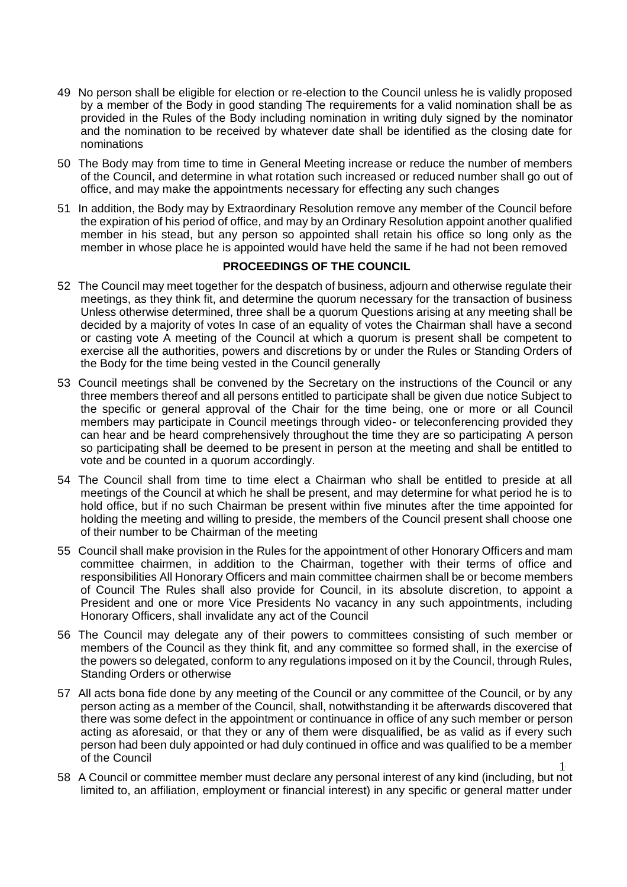- 49 No person shall be eligible for election or re-election to the Council unless he is validly proposed by a member of the Body in good standing The requirements for a valid nomination shall be as provided in the Rules of the Body including nomination in writing duly signed by the nominator and the nomination to be received by whatever date shall be identified as the closing date for nominations
- 50 The Body may from time to time in General Meeting increase or reduce the number of members of the Council, and determine in what rotation such increased or reduced number shall go out of office, and may make the appointments necessary for effecting any such changes
- 51 In addition, the Body may by Extraordinary Resolution remove any member of the Council before the expiration of his period of office, and may by an Ordinary Resolution appoint another qualified member in his stead, but any person so appointed shall retain his office so long only as the member in whose place he is appointed would have held the same if he had not been removed

# **PROCEEDINGS OF THE COUNCIL**

- 52 The Council may meet together for the despatch of business, adjourn and otherwise regulate their meetings, as they think fit, and determine the quorum necessary for the transaction of business Unless otherwise determined, three shall be a quorum Questions arising at any meeting shall be decided by a majority of votes In case of an equality of votes the Chairman shall have a second or casting vote A meeting of the Council at which a quorum is present shall be competent to exercise all the authorities, powers and discretions by or under the Rules or Standing Orders of the Body for the time being vested in the Council generally
- 53 Council meetings shall be convened by the Secretary on the instructions of the Council or any three members thereof and all persons entitled to participate shall be given due notice Subject to the specific or general approval of the Chair for the time being, one or more or all Council members may participate in Council meetings through video- or teleconferencing provided they can hear and be heard comprehensively throughout the time they are so participating A person so participating shall be deemed to be present in person at the meeting and shall be entitled to vote and be counted in a quorum accordingly.
- 54 The Council shall from time to time elect a Chairman who shall be entitled to preside at all meetings of the Council at which he shall be present, and may determine for what period he is to hold office, but if no such Chairman be present within five minutes after the time appointed for holding the meeting and willing to preside, the members of the Council present shall choose one of their number to be Chairman of the meeting
- 55 Council shall make provision in the Rules for the appointment of other Honorary Officers and mam committee chairmen, in addition to the Chairman, together with their terms of office and responsibilities All Honorary Officers and main committee chairmen shall be or become members of Council The Rules shall also provide for Council, in its absolute discretion, to appoint a President and one or more Vice Presidents No vacancy in any such appointments, including Honorary Officers, shall invalidate any act of the Council
- 56 The Council may delegate any of their powers to committees consisting of such member or members of the Council as they think fit, and any committee so formed shall, in the exercise of the powers so delegated, conform to any regulations imposed on it by the Council, through Rules, Standing Orders or otherwise
- 57 All acts bona fide done by any meeting of the Council or any committee of the Council, or by any person acting as a member of the Council, shall, notwithstanding it be afterwards discovered that there was some defect in the appointment or continuance in office of any such member or person acting as aforesaid, or that they or any of them were disqualified, be as valid as if every such person had been duly appointed or had duly continued in office and was qualified to be a member of the Council
- 58 A Council or committee member must declare any personal interest of any kind (including, but not limited to, an affiliation, employment or financial interest) in any specific or general matter under

10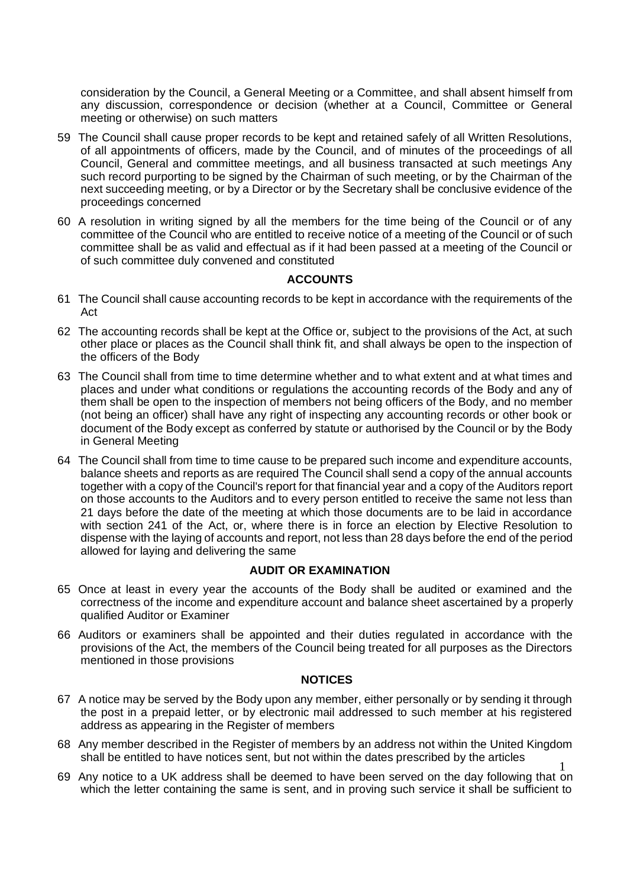consideration by the Council, a General Meeting or a Committee, and shall absent himself from any discussion, correspondence or decision (whether at a Council, Committee or General meeting or otherwise) on such matters

- 59 The Council shall cause proper records to be kept and retained safely of all Written Resolutions, of all appointments of officers, made by the Council, and of minutes of the proceedings of all Council, General and committee meetings, and all business transacted at such meetings Any such record purporting to be signed by the Chairman of such meeting, or by the Chairman of the next succeeding meeting, or by a Director or by the Secretary shall be conclusive evidence of the proceedings concerned
- 60 A resolution in writing signed by all the members for the time being of the Council or of any committee of the Council who are entitled to receive notice of a meeting of the Council or of such committee shall be as valid and effectual as if it had been passed at a meeting of the Council or of such committee duly convened and constituted

# **ACCOUNTS**

- 61 The Council shall cause accounting records to be kept in accordance with the requirements of the Act
- 62 The accounting records shall be kept at the Office or, subject to the provisions of the Act, at such other place or places as the Council shall think fit, and shall always be open to the inspection of the officers of the Body
- 63 The Council shall from time to time determine whether and to what extent and at what times and places and under what conditions or regulations the accounting records of the Body and any of them shall be open to the inspection of members not being officers of the Body, and no member (not being an officer) shall have any right of inspecting any accounting records or other book or document of the Body except as conferred by statute or authorised by the Council or by the Body in General Meeting
- 64 The Council shall from time to time cause to be prepared such income and expenditure accounts, balance sheets and reports as are required The Council shall send a copy of the annual accounts together with a copy of the Council's report for that financial year and a copy of the Auditors report on those accounts to the Auditors and to every person entitled to receive the same not less than 21 days before the date of the meeting at which those documents are to be laid in accordance with section 241 of the Act, or, where there is in force an election by Elective Resolution to dispense with the laying of accounts and report, not less than 28 days before the end of the period allowed for laying and delivering the same

# **AUDIT OR EXAMINATION**

- 65 Once at least in every year the accounts of the Body shall be audited or examined and the correctness of the income and expenditure account and balance sheet ascertained by a properly qualified Auditor or Examiner
- 66 Auditors or examiners shall be appointed and their duties regulated in accordance with the provisions of the Act, the members of the Council being treated for all purposes as the Directors mentioned in those provisions

# **NOTICES**

- 67 A notice may be served by the Body upon any member, either personally or by sending it through the post in a prepaid letter, or by electronic mail addressed to such member at his registered address as appearing in the Register of members
- 11 68 Any member described in the Register of members by an address not within the United Kingdom shall be entitled to have notices sent, but not within the dates prescribed by the articles
- 69 Any notice to a UK address shall be deemed to have been served on the day following that on which the letter containing the same is sent, and in proving such service it shall be sufficient to